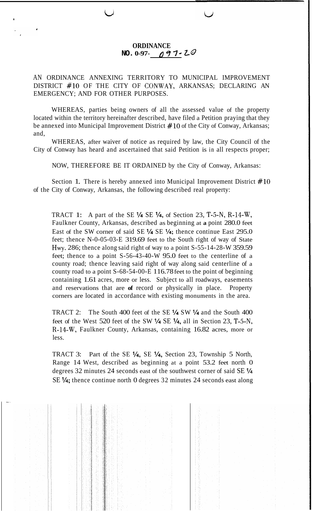## **ORDINANCE NO.** 0-97- 097-20

## AN ORDINANCE ANNEXING TERRITORY TO MUNICIPAL IMPROVEMENT DISTRICT #lo OF THE CITY OF CONWAY, ARKANSAS; DECLARING AN EMERGENCY; AND FOR OTHER PURPOSES.

u

**a** 

WHEREAS, parties being owners of all the assessed value of the property located within the territory hereinafter described, have filed a Petition praying that they be annexed into Municipal Improvement District  $#10$  of the City of Conway, Arkansas; and,

WHEREAS, after waiver of notice as required by law, the City Council of the City of Conway has heard and ascertained that said Petition is in all respects proper;

NOW, THEREFORE BE IT ORDAINED by the City of Conway, Arkansas:

Section 1. There is hereby annexed into Municipal Improvement District  $\#10$ of the City of Conway, Arkansas, the following described real property:

TRACT 1: A part of the SE **l/4** SE **l/4,** of Section 23, T-5-N, R-14-W, Faulkner County, Arkansas, described as beginning at **a** point 280.0 feet East of the SW corner of said SE **l/4** SE **1/4;** thence continue East 295.0 feet; thence N-0-05-03-E 319.69 feet to the South right of way of State Hwy. 286; thence along said right of way to a point S-55-14-28-W 359.59 feet; thence to a point S-56-43-40-W 95.0 feet to the centerline of a county road; thence leaving said right of way along said centerline of a county road to a point S-68-54-00-E 116.78 feet to the point of beginning containing 1.61 acres, more or less. Subject to all roadways, easements and reservations that are **of** record or physically in place. Property corners are located in accordance with existing monuments in the area.

TRACT 2: The South 400 feet of the SE **1/4** SW **1/4** and the South 400 feet of the West 520 feet of the SW **"/4** SE **'/4,** all in Section 23, T-5-N, R-14-W, Faulkner County, Arkansas, containing 16.82 acres, more or less.

TRACT 3: Part of the SE **1/4,** SE **Y4,** Section 23, Township 5 North, Range 14 West, described as beginning at a point 53.2 feet north 0 degrees 32 minutes 24 seconds east of the southwest corner of said SE **l/4**  SE **l/4;** thence continue north 0 degrees 32 minutes 24 seconds east along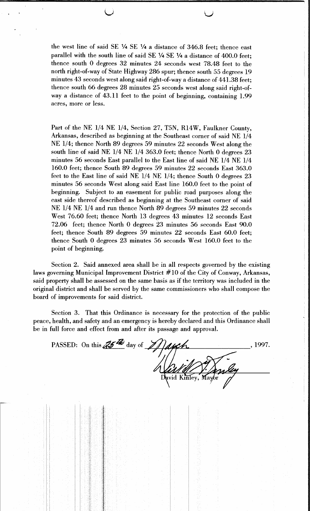the west line of said SE 1/4 SE 1/4 a distance of 346.8 feet; thence east parallel with the south line of said SE 1/4 SE 1/4 a distance of 400.0 feet; thence south 0 degrees  $32$  minutes  $24$  seconds west 78.48 feet to the north right-of-way of State Highway 286 spur; thence south 55 degrees 19 minutes 43 seconds west along said right-of-way a distance of 441.38 feet; thence south 66 degrees 28 minutes 25 seconds west along said right-ofway a distance of 43.11 feet to the point of beginning, containing 1.99 acres, more or less.

Part of the NE 1/4 NE 1/4, Section 27, T5N, R14W, Faulkner County, Arkansas, described as beginning at the Southeast corner of said NE 1/4 NE 1/4; thence North 89 degrees 59 minutes 22 seconds West along the south line of said NE 1/4 NE 1/4 363.0 feet; thence North 0 degrees 23 minutes 56 seconds East parallel to the East line of said NE 1/4 NE 1/4 160.0 feet; thence South 89 degrees 59 minutes 22 seconds East 363.0 feet to the East line of said NE 1/4 NE 1/4; thence South 0 degrees 23 minutes 56 seconds West along said East line 160.0 feet to the point of beginning. Subject to an easement for public road purposes along the east side thereof described as beginning at the Southeast corner of said NE 1/4 NE 1/4 and run thence North 89 degrees 59 minutes 22 seconds West 76.60 feet; thence North 13 degrees 43 minutes 12 seconds East 72.06 feet; thence North 0 degrees 23 minutes 56 seconds East 90.0 feet; thence South 89 degrees 59 minutes 22 seconds East 60.0 feet; thence South 0 degrees 23 minutes 56 seconds West 160.0 feet to the point of beginning.

Section 2. Said annexed area shall be in all respects governed by the existing laws governing Municipal Improvement District  $#10$  of the City of Conway, Arkansas, said property shall be assessed on the same basis as if the territory was included in the original district and shall be served by the same commissioners who shall compose the board of improvements for said district.

Section 3. That this Ordinance is necessary for the protection of the public peace, health, and safety and an emergency is hereby declared and this Ordinance shall be in full force and effect from and after its passage and approval.

PASSED: On this  $\mathcal{Z}$  day of  $\mathcal{Z}$ , 1997. vid Kinley,